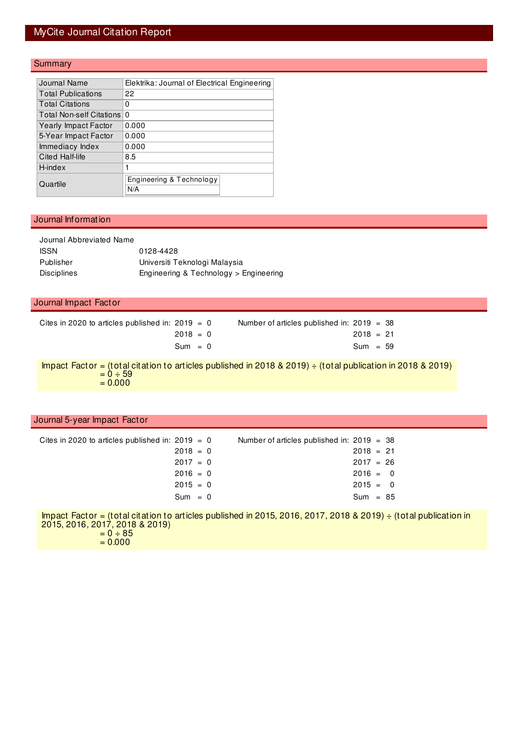## MyCite Journal Citation Report

#### **Summary**

| Journal Name                    | Elektrika: Journal of Electrical Engineering |
|---------------------------------|----------------------------------------------|
| <b>Total Publications</b>       | 22                                           |
| <b>Total Citations</b>          | 0                                            |
| <b>Total Non-self Citations</b> | 0                                            |
| <b>Yearly Impact Factor</b>     | 0.000                                        |
| 5-Year Impact Factor            | 0.000                                        |
| Immediacy Index                 | 0.000                                        |
| Cited Half-life                 | 8.5                                          |
| H-index                         | 1                                            |
| Quartile                        | Engineering & Technology<br>N/A              |

#### Journal Information

| Journal Abbreviated Name |                                        |
|--------------------------|----------------------------------------|
| <b>ISSN</b>              | 0128-4428                              |
| Publisher                | Universiti Teknologi Malaysia          |
| <b>Disciplines</b>       | Engineering & Technology > Engineering |

#### Journal Impact Factor

| Cites in 2020 to articles published in: $2019 = 0$ |  | Number of articles published in: $2019 = 38$ |             |  |
|----------------------------------------------------|--|----------------------------------------------|-------------|--|
| $2018 = 0$                                         |  |                                              | $2018 = 21$ |  |
| $Sum = 0$                                          |  |                                              | $Sum = 59$  |  |

Impact Factor = (total citation to articles published in 2018 & 2019) ÷ (total publication in 2018 & 2019)  $= 0 \div 59$  $= 0.000$ 

#### Journal 5-year Impact Factor

|  | Cites in 2020 to articles published in: 2019 $=$ 0<br>$2018 = 0$<br>$2017 = 0$<br>$2016 = 0$<br>$2015 = 0$<br>$Sum = 0$ |  | Number of articles published in: $2019 = 38$<br>$2018 = 21$<br>$2017 = 26$<br>$2016 = 0$<br>$2015 = 0$<br>$Sum = 85$ |
|--|-------------------------------------------------------------------------------------------------------------------------|--|----------------------------------------------------------------------------------------------------------------------|

Impact Factor = (total citation to articles published in 2015, 2016, 2017, 2018 & 2019) ÷ (total publication in 2015, 2016, 2017, 2018 & 2019)  $= 0 \div 85$ 

 $= 0.000$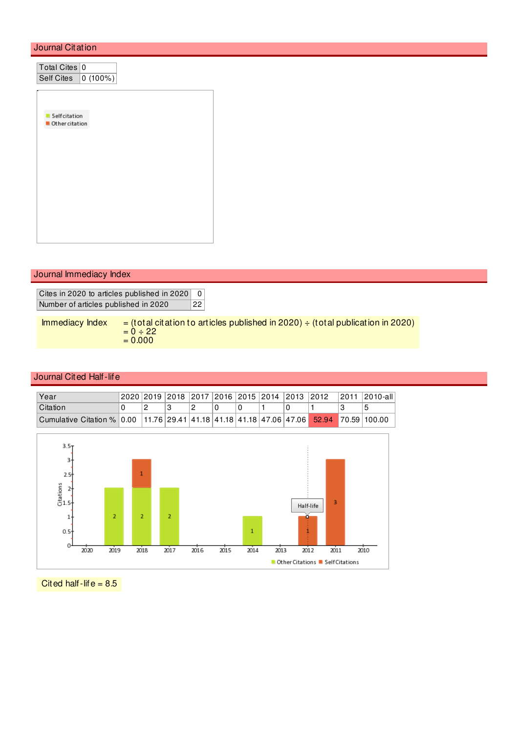### Journal Citation

| Total Cites 0         |  |
|-----------------------|--|
| Self Cites   0 (100%) |  |
|                       |  |
|                       |  |
| Selfcitation          |  |
| Other citation        |  |
|                       |  |
|                       |  |
|                       |  |
|                       |  |
|                       |  |
|                       |  |
|                       |  |
|                       |  |
|                       |  |

#### Journal Immediacy Index

Cites in 2020 to articles published in 2020 0 Number of articles published in 2020 22

Immediacy Index  $=$  (total citation to articles published in 2020)  $\div$  (total publication in 2020)  $= 0 \div 22$  $= 0.000$ 

#### Journal Cited Half-life

| Year                                                                                                        |  |  |  |  | 2020 2019 2018 2017 2016 2015 2014 2013 2012 | 12011 12010-all |
|-------------------------------------------------------------------------------------------------------------|--|--|--|--|----------------------------------------------|-----------------|
| <b>Citation</b>                                                                                             |  |  |  |  |                                              |                 |
| Cumulative Citation % 0.00   11.76   29.41   41.18   41.18   41.18   47.06   47.06   52.94   70.59   100.00 |  |  |  |  |                                              |                 |